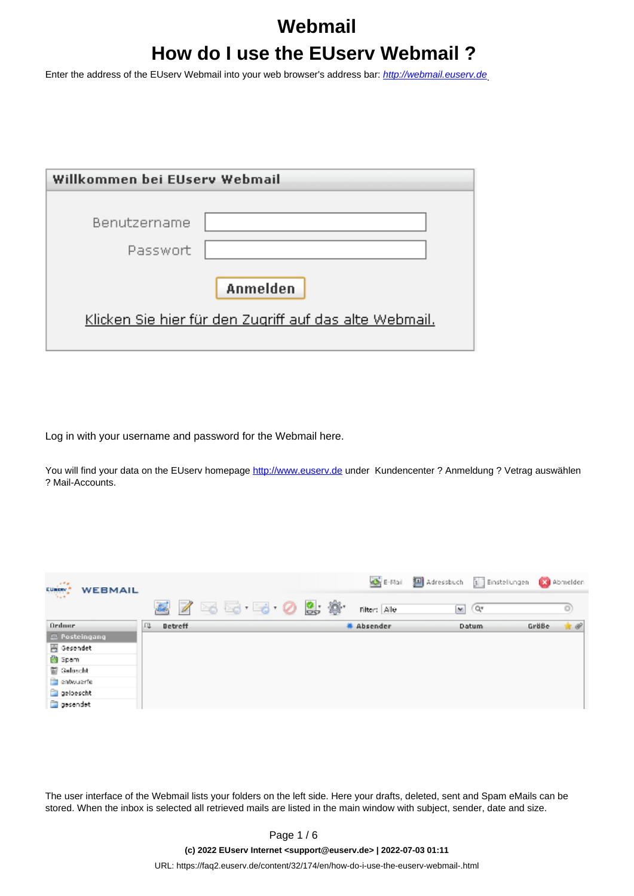# **Webmail How do I use the EUserv Webmail ?**

Enter the address of the EUserv Webmail into your web browser's address bar: [http://webmail.euserv.de](http://webmail.euserv.de/)

| Willkommen bei EUsery Webmail                          |  |  |
|--------------------------------------------------------|--|--|
| Benutzername                                           |  |  |
| Passwort                                               |  |  |
| Anmelden                                               |  |  |
| Klicken Sie hier für den Zugriff auf das alte Webmail. |  |  |
|                                                        |  |  |

Log in with your username and password for the Webmail here.

You will find your data on the EUserv homepage [http://www.euserv.de](http://www.euserv.de/) under Kundencenter ? Anmeldung ? Vetrag auswählen ? Mail-Accounts.

| <b>CURRENT</b><br><b>WEBMAIL</b> |   |         |                 |  | $\mathbf{C}$ E-Mai | Adressbuch 3 Einstellungen |              |       | Abmelden |
|----------------------------------|---|---------|-----------------|--|--------------------|----------------------------|--------------|-------|----------|
|                                  |   |         | 3 7 3 3 3 0 9 % |  | Filter: Alle       | M                          | $Q^*$        |       | u        |
| <b>Ordner</b>                    | 皿 | Betreff |                 |  | # Absender         |                            | <b>Datum</b> | Größe | * *      |
| $\equiv$ Posteingang             |   |         |                 |  |                    |                            |              |       |          |
| Gesendet                         |   |         |                 |  |                    |                            |              |       |          |
| 的 Spam                           |   |         |                 |  |                    |                            |              |       |          |
| <b>面 Gelöscht</b>                |   |         |                 |  |                    |                            |              |       |          |
| entwuerfe                        |   |         |                 |  |                    |                            |              |       |          |
| geloescht                        |   |         |                 |  |                    |                            |              |       |          |
| gesendet                         |   |         |                 |  |                    |                            |              |       |          |

The user interface of the Webmail lists your folders on the left side. Here your drafts, deleted, sent and Spam eMails can be stored. When the inbox is selected all retrieved mails are listed in the main window with subject, sender, date and size.

**(c) 2022 EUserv Internet <support@euserv.de> | 2022-07-03 01:11**

[URL: https://faq2.euserv.de/content/32/174/en/how-do-i-use-the-euserv-webmail-.html](https://faq2.euserv.de/content/32/174/en/how-do-i-use-the-euserv-webmail-.html)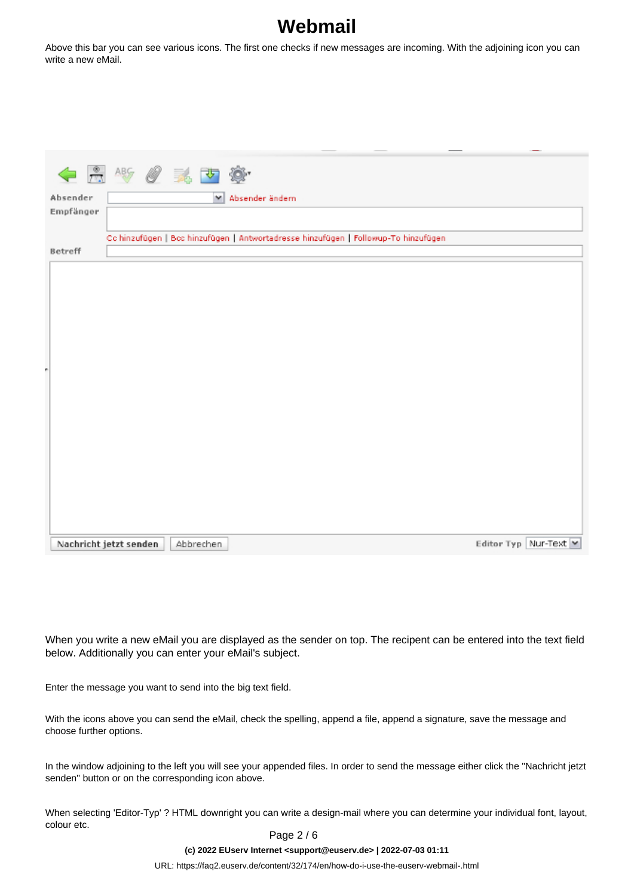Above this bar you can see various icons. The first one checks if new messages are incoming. With the adjoining icon you can write a new eMail.

| ← 用 * / / 美 下 :        |                                                                                     |                       |
|------------------------|-------------------------------------------------------------------------------------|-----------------------|
| Absender               | M Absender ändern                                                                   |                       |
| Empfänger              |                                                                                     |                       |
|                        |                                                                                     |                       |
|                        | Co hinzufügen   Bod hinzufügen   Antwortadresse hinzufügen   Followup-To hinzufügen |                       |
| Betreff                |                                                                                     |                       |
|                        |                                                                                     |                       |
|                        |                                                                                     |                       |
|                        |                                                                                     |                       |
|                        |                                                                                     |                       |
|                        |                                                                                     |                       |
|                        |                                                                                     |                       |
|                        |                                                                                     |                       |
|                        |                                                                                     |                       |
|                        |                                                                                     |                       |
|                        |                                                                                     |                       |
|                        |                                                                                     |                       |
|                        |                                                                                     |                       |
|                        |                                                                                     |                       |
|                        |                                                                                     |                       |
|                        |                                                                                     |                       |
|                        |                                                                                     |                       |
|                        |                                                                                     |                       |
|                        |                                                                                     |                       |
| Nachricht jetzt senden | Abbrechen                                                                           | Editor Typ Nur-Text M |

When you write a new eMail you are displayed as the sender on top. The recipent can be entered into the text field below. Additionally you can enter your eMail's subject.

Enter the message you want to send into the big text field.

With the icons above you can send the eMail, check the spelling, append a file, append a signature, save the message and choose further options.

In the window adjoining to the left you will see your appended files. In order to send the message either click the "Nachricht jetzt senden" button or on the corresponding icon above.

When selecting 'Editor-Typ' ? HTML downright you can write a design-mail where you can determine your individual font, layout, colour etc.

Page 2 / 6

**(c) 2022 EUserv Internet <support@euserv.de> | 2022-07-03 01:11**

[URL: https://faq2.euserv.de/content/32/174/en/how-do-i-use-the-euserv-webmail-.html](https://faq2.euserv.de/content/32/174/en/how-do-i-use-the-euserv-webmail-.html)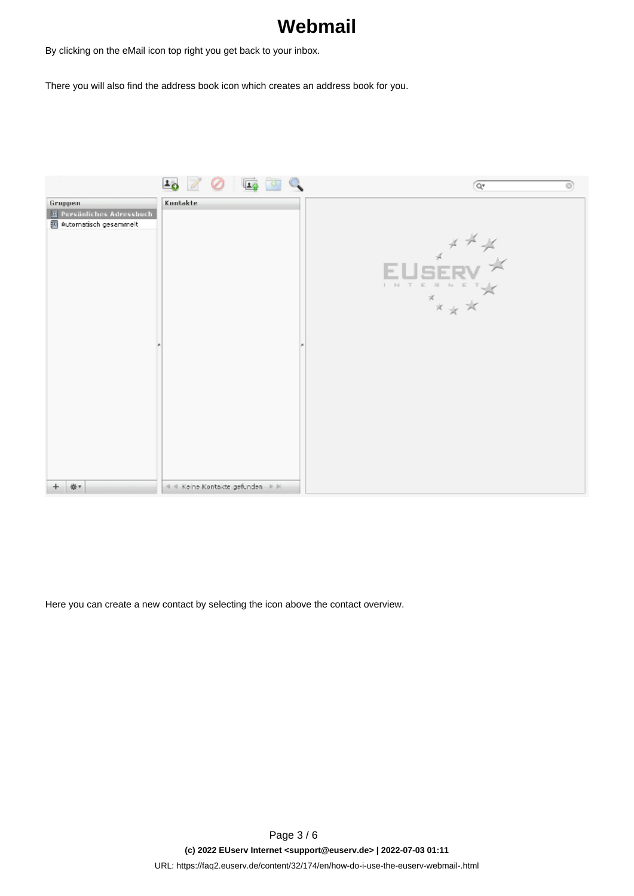By clicking on the eMail icon top right you get back to your inbox.

There you will also find the address book icon which creates an address book for you.



Here you can create a new contact by selecting the icon above the contact overview.

Page 3 / 6 **(c) 2022 EUserv Internet <support@euserv.de> | 2022-07-03 01:11** [URL: https://faq2.euserv.de/content/32/174/en/how-do-i-use-the-euserv-webmail-.html](https://faq2.euserv.de/content/32/174/en/how-do-i-use-the-euserv-webmail-.html)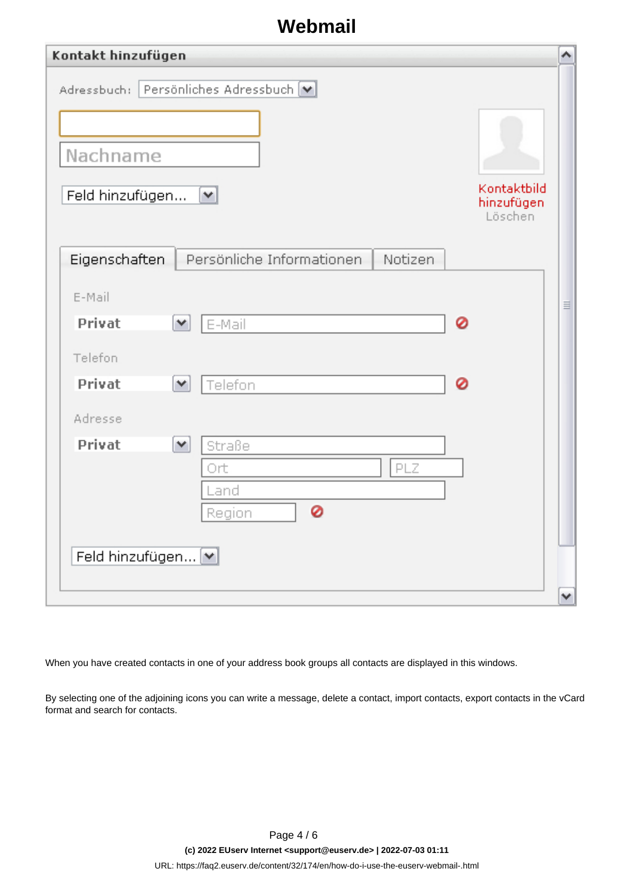| Kontakt hinzufügen                                                                                                  | ∧        |
|---------------------------------------------------------------------------------------------------------------------|----------|
| Adressbuch: Persönliches Adressbuch [M]<br>Nachname<br>Kontaktbild<br>Feld hinzufügen<br>M<br>hinzufügen<br>Löschen |          |
| Persönliche Informationen.<br>Notizen<br>Eigenschaften                                                              |          |
| E-Mail                                                                                                              | $\equiv$ |
| Privat<br>0<br>E-Mail<br>$\checkmark$                                                                               |          |
| Telefon                                                                                                             |          |
| 0<br>Privat<br>Telefon<br>$\checkmark$                                                                              |          |
| Adresse                                                                                                             |          |
| Privat<br>$\checkmark$<br>Straße<br>PLZ<br>Ort<br>Land<br>0<br><b>Region</b><br>Feld hinzufügen [v]                 |          |
|                                                                                                                     | ٧        |

When you have created contacts in one of your address book groups all contacts are displayed in this windows.

By selecting one of the adjoining icons you can write a message, delete a contact, import contacts, export contacts in the vCard format and search for contacts.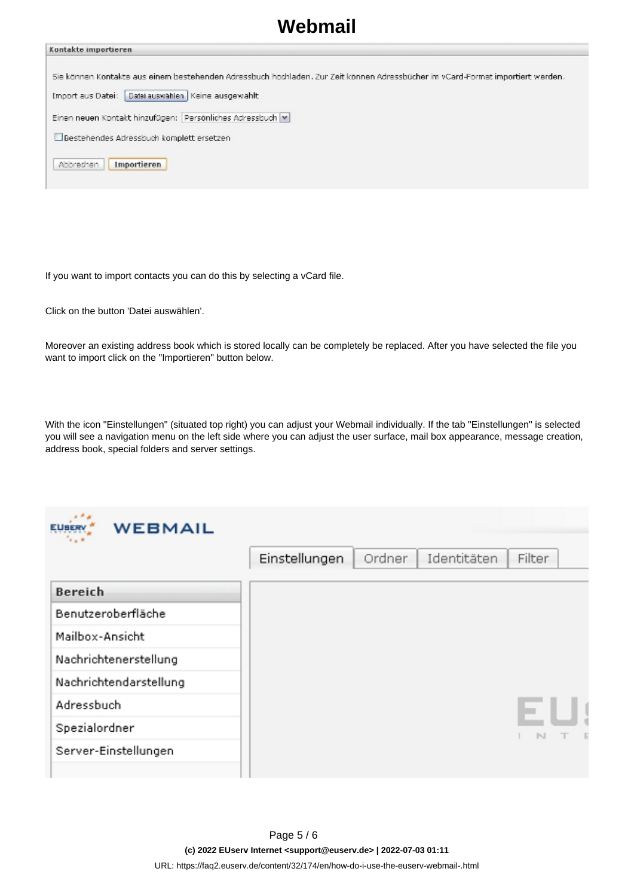| Kontakte importieren.                                                                                                           |
|---------------------------------------------------------------------------------------------------------------------------------|
|                                                                                                                                 |
| Sie können Kontakte aus einem bestehenden Adressbuch hochladen. Zur Zeit können Adressbücher im vCard-Format importiert werden. |
| Datel auswählen   Keine ausgewählt<br>Import aus Datei:                                                                         |
| Einen neuen Kontakt hinzufügen: Persönliches Adressbuch  M                                                                      |
| Bestehendes Adressbuch komplett ersetzen                                                                                        |
| Abbrechen<br><b>Importieren</b>                                                                                                 |

If you want to import contacts you can do this by selecting a vCard file.

Click on the button 'Datei auswählen'.

Moreover an existing address book which is stored locally can be completely be replaced. After you have selected the file you want to import click on the "Importieren" button below.

With the icon "Einstellungen" (situated top right) you can adjust your Webmail individually. If the tab "Einstellungen" is selected you will see a navigation menu on the left side where you can adjust the user surface, mail box appearance, message creation, address book, special folders and server settings.

| <b>WEBMAIL</b><br><b>EUSERV</b><br>'. . * |               |        |             |              |
|-------------------------------------------|---------------|--------|-------------|--------------|
|                                           | Einstellungen | Ordner | Identitäten | Filter       |
| <b>Bereich</b>                            |               |        |             |              |
| Benutzeroberfläche                        |               |        |             |              |
| Mailbox-Ansicht                           |               |        |             |              |
| Nachrichtenerstellung                     |               |        |             |              |
| Nachrichtendarstellung                    |               |        |             |              |
| Adressbuch                                |               |        |             |              |
| Spezialordner                             |               |        |             | $\mathbb{N}$ |
| Server-Einstellungen                      |               |        |             |              |
|                                           |               |        |             |              |